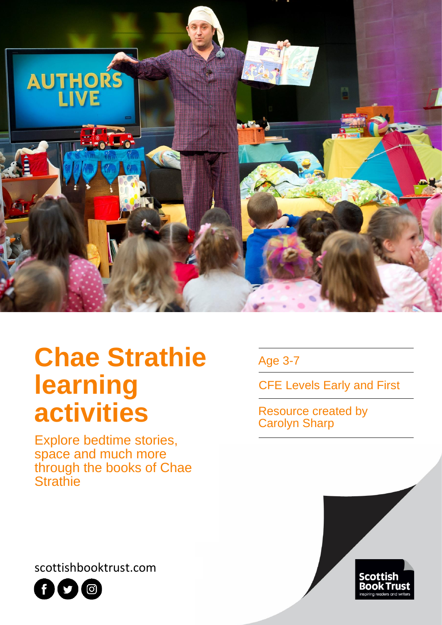

# **Chae Strathie learning activities**

Explore bedtime stories, space and much more through the books of Chae **Strathie** 

Age 3-7

CFE Levels Early and First

Resource created by Carolyn Sharp



scottishbooktrust.com

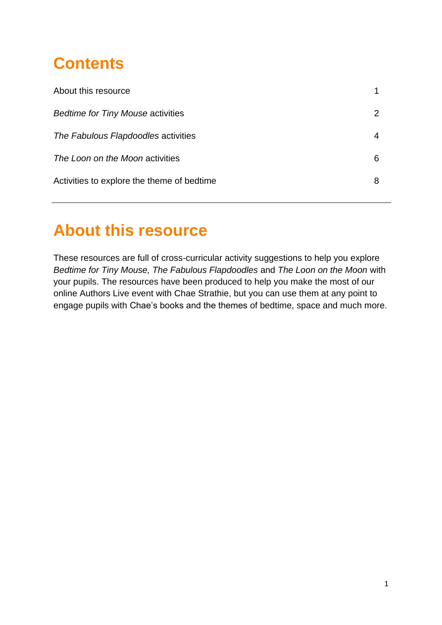# **Contents**

| About this resource                        |   |
|--------------------------------------------|---|
| <b>Bedtime for Tiny Mouse activities</b>   |   |
| The Fabulous Flapdoodles activities        | 4 |
| The Loon on the Moon activities            | 6 |
| Activities to explore the theme of bedtime | 8 |
|                                            |   |

### **About this resource**

These resources are full of cross-curricular activity suggestions to help you explore *Bedtime for Tiny Mouse, The Fabulous Flapdoodles* and *The Loon on the Moon* with your pupils. The resources have been produced to help you make the most of our online Authors Live event with Chae Strathie, but you can use them at any point to engage pupils with Chae's books and the themes of bedtime, space and much more.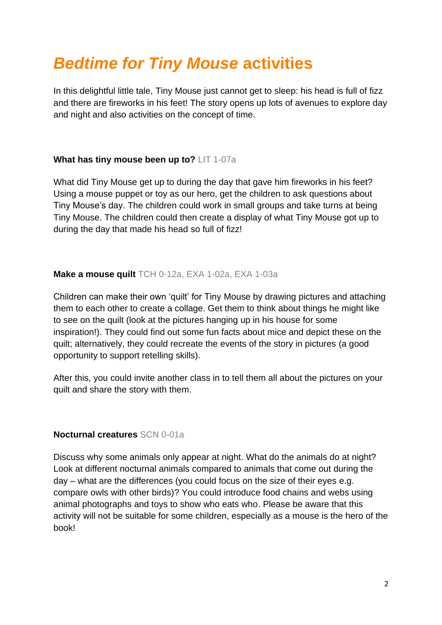## *Bedtime for Tiny Mouse* **activities**

In this delightful little tale, Tiny Mouse just cannot get to sleep: his head is full of fizz and there are fireworks in his feet! The story opens up lots of avenues to explore day and night and also activities on the concept of time.

### **What has tiny mouse been up to?** LIT 1-07a

What did Tiny Mouse get up to during the day that gave him fireworks in his feet? Using a mouse puppet or toy as our hero, get the children to ask questions about Tiny Mouse's day. The children could work in small groups and take turns at being Tiny Mouse. The children could then create a display of what Tiny Mouse got up to during the day that made his head so full of fizz!

#### **Make a mouse quilt** TCH 0-12a, EXA 1-02a, EXA 1-03a

Children can make their own 'quilt' for Tiny Mouse by drawing pictures and attaching them to each other to create a collage. Get them to think about things he might like to see on the quilt (look at the pictures hanging up in his house for some inspiration!). They could find out some fun facts about mice and depict these on the quilt; alternatively, they could recreate the events of the story in pictures (a good opportunity to support retelling skills).

After this, you could invite another class in to tell them all about the pictures on your quilt and share the story with them.

#### **Nocturnal creatures** SCN 0-01a

Discuss why some animals only appear at night. What do the animals do at night? Look at different nocturnal animals compared to animals that come out during the day – what are the differences (you could focus on the size of their eyes e.g. compare owls with other birds)? You could introduce food chains and webs using animal photographs and toys to show who eats who. Please be aware that this activity will not be suitable for some children, especially as a mouse is the hero of the book!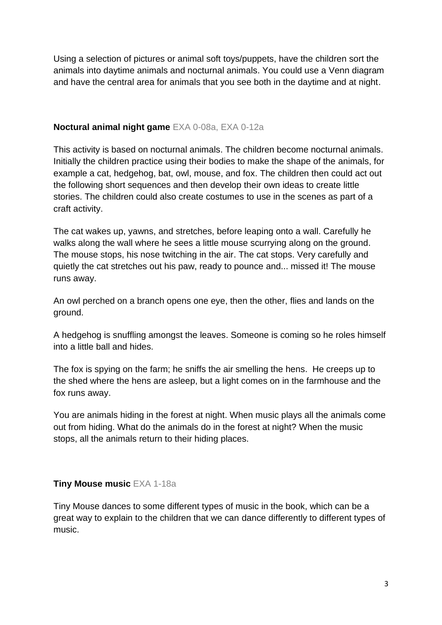Using a selection of pictures or animal soft toys/puppets, have the children sort the animals into daytime animals and nocturnal animals. You could use a Venn diagram and have the central area for animals that you see both in the daytime and at night.

#### **Noctural animal night game** EXA 0-08a, EXA 0-12a

This activity is based on nocturnal animals. The children become nocturnal animals. Initially the children practice using their bodies to make the shape of the animals, for example a cat, hedgehog, bat, owl, mouse, and fox. The children then could act out the following short sequences and then develop their own ideas to create little stories. The children could also create costumes to use in the scenes as part of a craft activity.

The cat wakes up, yawns, and stretches, before leaping onto a wall. Carefully he walks along the wall where he sees a little mouse scurrying along on the ground. The mouse stops, his nose twitching in the air. The cat stops. Very carefully and quietly the cat stretches out his paw, ready to pounce and... missed it! The mouse runs away.

An owl perched on a branch opens one eye, then the other, flies and lands on the ground.

A hedgehog is snuffling amongst the leaves. Someone is coming so he roles himself into a little ball and hides.

The fox is spying on the farm; he sniffs the air smelling the hens. He creeps up to the shed where the hens are asleep, but a light comes on in the farmhouse and the fox runs away.

You are animals hiding in the forest at night. When music plays all the animals come out from hiding. What do the animals do in the forest at night? When the music stops, all the animals return to their hiding places.

### **Tiny Mouse music** EXA 1-18a

Tiny Mouse dances to some different types of music in the book, which can be a great way to explain to the children that we can dance differently to different types of music.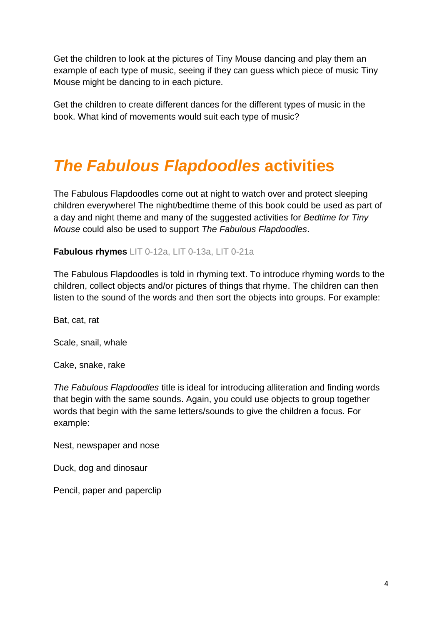Get the children to look at the pictures of Tiny Mouse dancing and play them an example of each type of music, seeing if they can guess which piece of music Tiny Mouse might be dancing to in each picture.

Get the children to create different dances for the different types of music in the book. What kind of movements would suit each type of music?

# *The Fabulous Flapdoodles* **activities**

The Fabulous Flapdoodles come out at night to watch over and protect sleeping children everywhere! The night/bedtime theme of this book could be used as part of a day and night theme and many of the suggested activities for *Bedtime for Tiny Mouse* could also be used to support *The Fabulous Flapdoodles*.

#### **Fabulous rhymes** LIT 0-12a, LIT 0-13a, LIT 0-21a

The Fabulous Flapdoodles is told in rhyming text. To introduce rhyming words to the children, collect objects and/or pictures of things that rhyme. The children can then listen to the sound of the words and then sort the objects into groups. For example:

Bat, cat, rat

Scale, snail, whale

Cake, snake, rake

*The Fabulous Flapdoodles* title is ideal for introducing alliteration and finding words that begin with the same sounds. Again, you could use objects to group together words that begin with the same letters/sounds to give the children a focus. For example:

Nest, newspaper and nose

Duck, dog and dinosaur

Pencil, paper and paperclip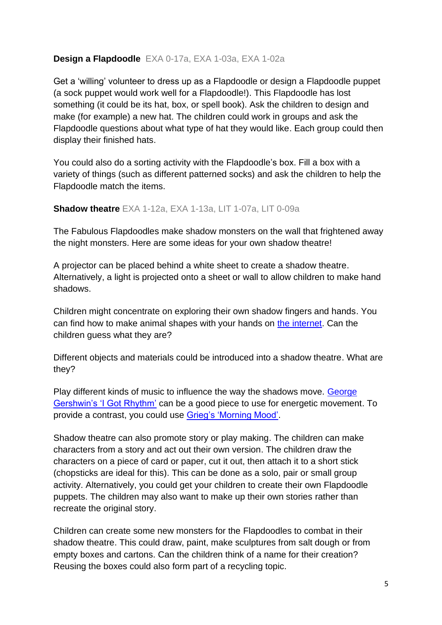### **Design a Flapdoodle** EXA 0-17a, EXA 1-03a, EXA 1-02a

Get a 'willing' volunteer to dress up as a Flapdoodle or design a Flapdoodle puppet (a sock puppet would work well for a Flapdoodle!). This Flapdoodle has lost something (it could be its hat, box, or spell book). Ask the children to design and make (for example) a new hat. The children could work in groups and ask the Flapdoodle questions about what type of hat they would like. Each group could then display their finished hats.

You could also do a sorting activity with the Flapdoodle's box. Fill a box with a variety of things (such as different patterned socks) and ask the children to help the Flapdoodle match the items.

#### **Shadow theatre** EXA 1-12a, EXA 1-13a, LIT 1-07a, LIT 0-09a

The Fabulous Flapdoodles make shadow monsters on the wall that frightened away the night monsters. Here are some ideas for your own shadow theatre!

A projector can be placed behind a white sheet to create a shadow theatre. Alternatively, a light is projected onto a sheet or wall to allow children to make hand shadows.

Children might concentrate on exploring their own shadow fingers and hands. You can find how to make animal shapes with your hands on [the internet.](https://www.youtube.com/watch?v=Kz8wP2RYy64) Can the children guess what they are?

Different objects and materials could be introduced into a shadow theatre. What are they?

Play different kinds of music to influence the way the shadows move. [George](http://bit.ly/IGotRhythmGershwin)  [Gershwin's 'I Got Rhythm'](http://bit.ly/IGotRhythmGershwin) can be a good piece to use for energetic movement. To provide a contrast, you could use [Grieg's 'Morning Mood'.](http://bit.ly/PerrGyntMorning)

Shadow theatre can also promote story or play making. The children can make characters from a story and act out their own version. The children draw the characters on a piece of card or paper, cut it out, then attach it to a short stick (chopsticks are ideal for this). This can be done as a solo, pair or small group activity. Alternatively, you could get your children to create their own Flapdoodle puppets. The children may also want to make up their own stories rather than recreate the original story.

Children can create some new monsters for the Flapdoodles to combat in their shadow theatre. This could draw, paint, make sculptures from salt dough or from empty boxes and cartons. Can the children think of a name for their creation? Reusing the boxes could also form part of a recycling topic.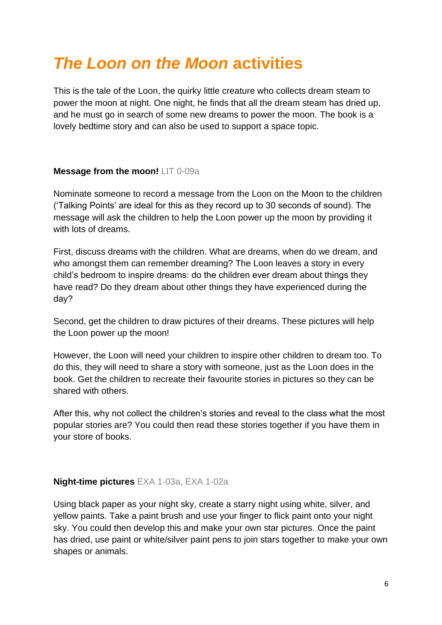### *The Loon on the Moon* **activities**

This is the tale of the Loon, the quirky little creature who collects dream steam to power the moon at night. One night, he finds that all the dream steam has dried up, and he must go in search of some new dreams to power the moon. The book is a lovely bedtime story and can also be used to support a space topic.

#### **Message from the moon!** LIT 0-09a

Nominate someone to record a message from the Loon on the Moon to the children ('Talking Points' are ideal for this as they record up to 30 seconds of sound). The message will ask the children to help the Loon power up the moon by providing it with lots of dreams.

First, discuss dreams with the children. What are dreams, when do we dream, and who amongst them can remember dreaming? The Loon leaves a story in every child's bedroom to inspire dreams: do the children ever dream about things they have read? Do they dream about other things they have experienced during the day?

Second, get the children to draw pictures of their dreams. These pictures will help the Loon power up the moon!

However, the Loon will need your children to inspire other children to dream too. To do this, they will need to share a story with someone, just as the Loon does in the book. Get the children to recreate their favourite stories in pictures so they can be shared with others.

After this, why not collect the children's stories and reveal to the class what the most popular stories are? You could then read these stories together if you have them in your store of books.

### **Night-time pictures** EXA 1-03a, EXA 1-02a

Using black paper as your night sky, create a starry night using white, silver, and yellow paints. Take a paint brush and use your finger to flick paint onto your night sky. You could then develop this and make your own star pictures. Once the paint has dried, use paint or white/silver paint pens to join stars together to make your own shapes or animals.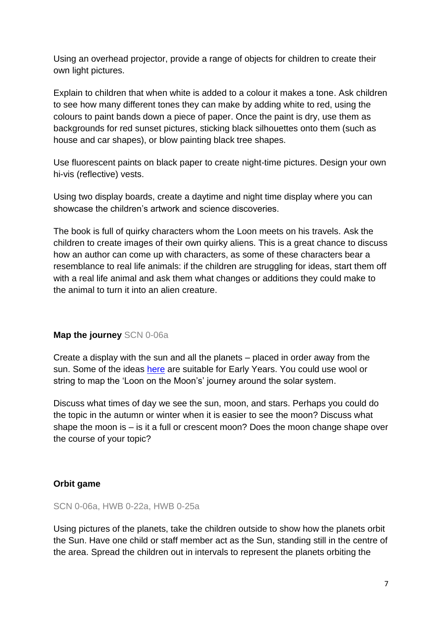Using an overhead projector, provide a range of objects for children to create their own light pictures.

Explain to children that when white is added to a colour it makes a tone. Ask children to see how many different tones they can make by adding white to red, using the colours to paint bands down a piece of paper. Once the paint is dry, use them as backgrounds for red sunset pictures, sticking black silhouettes onto them (such as house and car shapes), or blow painting black tree shapes.

Use fluorescent paints on black paper to create night-time pictures. Design your own hi-vis (reflective) vests.

Using two display boards, create a daytime and night time display where you can showcase the children's artwork and science discoveries.

The book is full of quirky characters whom the Loon meets on his travels. Ask the children to create images of their own quirky aliens. This is a great chance to discuss how an author can come up with characters, as some of these characters bear a resemblance to real life animals: if the children are struggling for ideas, start them off with a real life animal and ask them what changes or additions they could make to the animal to turn it into an alien creature.

#### **Map the journey** SCN 0-06a

Create a display with the sun and all the planets – placed in order away from the sun. Some of the ideas [here](https://hative.com/solar-system-project-ideas-for-kids/) are suitable for Early Years. You could use wool or string to map the 'Loon on the Moon's' journey around the solar system.

Discuss what times of day we see the sun, moon, and stars. Perhaps you could do the topic in the autumn or winter when it is easier to see the moon? Discuss what shape the moon is – is it a full or crescent moon? Does the moon change shape over the course of your topic?

#### **Orbit game**

#### SCN 0-06a, HWB 0-22a, HWB 0-25a

Using pictures of the planets, take the children outside to show how the planets orbit the Sun. Have one child or staff member act as the Sun, standing still in the centre of the area. Spread the children out in intervals to represent the planets orbiting the